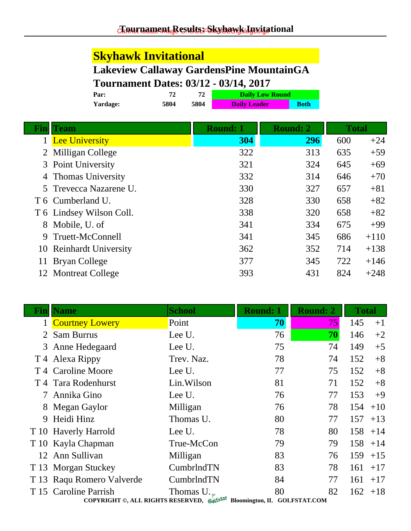# **Skyhawk Invitational**

## **Lakeview Callaway GardensPine MountainGA Tournament Dates: 03/12 - 03/14, 2017**

| Par:     | 72   |      | <b>Daily Low Round</b> |             |
|----------|------|------|------------------------|-------------|
| Yardage: | 5804 | 5804 | <b>Daily Leader</b>    | <b>Both</b> |
|          |      |      |                        |             |

|   | <b>Team</b>              | <b>Round: 1</b> | <b>Round: 2</b> | <b>Total</b> |        |
|---|--------------------------|-----------------|-----------------|--------------|--------|
|   | <b>Lee University</b>    | 304             | 296             | 600          | $+24$  |
|   | 2 Milligan College       | 322             | 313             | 635          | $+59$  |
|   | 3 Point University       | 321             | 324             | 645          | $+69$  |
|   | 4 Thomas University      | 332             | 314             | 646          | $+70$  |
|   | 5 Trevecca Nazarene U.   | 330             | 327             | 657          | $+81$  |
|   | T 6 Cumberland U.        | 328             | 330             | 658          | $+82$  |
|   | T 6 Lindsey Wilson Coll. | 338             | 320             | 658          | $+82$  |
| 8 | Mobile, U. of            | 341             | 334             | 675          | $+99$  |
| 9 | Truett-McConnell         | 341             | 345             | 686          | $+110$ |
|   | 10 Reinhardt University  | 362             | 352             | 714          | $+138$ |
|   | 11 Bryan College         | 377             | 345             | 722          | $+146$ |
|   | 12 Montreat College      | 393             | 431             | 824          | $+248$ |

| Fınl | <b>Name</b>                   | <b>School</b>                                                                                 | Round: 1 | <b>Round: 2</b> | <b>Total</b> |       |
|------|-------------------------------|-----------------------------------------------------------------------------------------------|----------|-----------------|--------------|-------|
|      | <b>Courtney Lowery</b>        | Point                                                                                         | 70       | 75              | 145          | $+1$  |
|      | 2 Sam Burrus                  | Lee U.                                                                                        | 76       | 70              | 146          | $+2$  |
|      | 3 Anne Hedegaard              | Lee U.                                                                                        | 75       | 74              | 149          | $+5$  |
|      | T 4 Alexa Rippy               | Trev. Naz.                                                                                    | 78       | 74              | 152          | $+8$  |
|      | T <sub>4</sub> Caroline Moore | Lee U.                                                                                        | 77       | 75              | 152          | $+8$  |
|      | T 4 Tara Rodenhurst           | Lin.Wilson                                                                                    | 81       | 71              | 152          | $+8$  |
|      | Annika Gino                   | Lee U.                                                                                        | 76       | 77              | 153          | $+9$  |
| 8    | Megan Gaylor                  | Milligan                                                                                      | 76       | 78              | 154          | $+10$ |
| 9    | Heidi Hinz                    | Thomas U.                                                                                     | 80       | 77              | 157          | $+13$ |
|      | T 10 Haverly Harrold          | Lee U.                                                                                        | 78       | 80              | 158          | $+14$ |
|      | T 10 Kayla Chapman            | True-McCon                                                                                    | 79       | 79              | 158          | $+14$ |
|      | 12 Ann Sullivan               | Milligan                                                                                      | 83       | 76              | 159          | $+15$ |
|      | T 13 Morgan Stuckey           | CumbrlndTN                                                                                    | 83       | 78              | 161          | $+17$ |
|      | T 13 Raqu Romero Valverde     | CumbrlndTN                                                                                    | 84       | 77              | 161          | $+17$ |
|      | T 15 Caroline Parrish         | Thomas $U_{\cdot}$<br>COPYRIGHT ©, ALL RIGHTS RESERVED, Gulfstat Bloomington, IL GOLFSTAT.COM | 80       | 82              | 162          | $+18$ |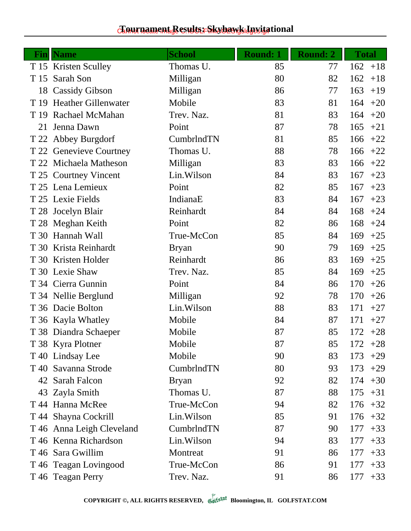#### chaurnament Results: Skyhawk Invitational

| Fin  | <b>Name</b>                | <b>School</b> | <b>Round: 1</b> | <b>Round: 2</b> | <b>Total</b> |
|------|----------------------------|---------------|-----------------|-----------------|--------------|
|      | T 15 Kristen Sculley       | Thomas U.     | 85              | 77              | 162<br>$+18$ |
| T 15 | Sarah Son                  | Milligan      | 80              | 82              | 162<br>$+18$ |
|      | 18 Cassidy Gibson          | Milligan      | 86              | 77              | 163<br>$+19$ |
| T 19 | <b>Heather Gillenwater</b> | Mobile        | 83              | 81              | 164<br>$+20$ |
|      | T 19 Rachael McMahan       | Trev. Naz.    | 81              | 83              | 164<br>$+20$ |
| 21   | Jenna Dawn                 | Point         | 87              | 78              | 165<br>$+21$ |
|      | T 22 Abbey Burgdorf        | CumbrlndTN    | 81              | 85              | 166<br>$+22$ |
|      | T 22 Genevieve Courtney    | Thomas U.     | 88              | 78              | 166<br>$+22$ |
|      | T 22 Michaela Matheson     | Milligan      | 83              | 83              | 166<br>$+22$ |
|      | T 25 Courtney Vincent      | Lin.Wilson    | 84              | 83              | 167<br>$+23$ |
|      | T 25 Lena Lemieux          | Point         | 82              | 85              | 167<br>$+23$ |
|      | T 25 Lexie Fields          | IndianaE      | 83              | 84              | 167<br>$+23$ |
|      | T 28 Jocelyn Blair         | Reinhardt     | 84              | 84              | 168<br>$+24$ |
|      | T 28 Meghan Keith          | Point         | 82              | 86              | 168<br>$+24$ |
|      | T 30 Hannah Wall           | True-McCon    | 85              | 84              | 169<br>$+25$ |
|      | T 30 Krista Reinhardt      | <b>Bryan</b>  | 90              | 79              | 169<br>$+25$ |
|      | T 30 Kristen Holder        | Reinhardt     | 86              | 83              | 169<br>$+25$ |
|      | T 30 Lexie Shaw            | Trev. Naz.    | 85              | 84              | 169<br>$+25$ |
|      | T 34 Cierra Gunnin         | Point         | 84              | 86              | 170<br>$+26$ |
|      | T 34 Nellie Berglund       | Milligan      | 92              | 78              | 170<br>$+26$ |
|      | T 36 Dacie Bolton          | Lin.Wilson    | 88              | 83              | 171<br>$+27$ |
|      | T 36 Kayla Whatley         | Mobile        | 84              | 87              | 171<br>$+27$ |
|      | T 38 Diandra Schaeper      | Mobile        | 87              | 85              | 172<br>$+28$ |
|      | T 38 Kyra Plotner          | Mobile        | 87              | 85              | 172<br>$+28$ |
|      | T 40 Lindsay Lee           | Mobile        | 90              | 83              | 173<br>$+29$ |
|      | T 40 Savanna Strode        | CumbrlndTN    | 80              | 93              | 173<br>$+29$ |
|      | 42 Sarah Falcon            | <b>Bryan</b>  | 92              | 82              | 174<br>$+30$ |
|      | 43 Zayla Smith             | Thomas U.     | 87              | 88              | 175<br>$+31$ |
|      | T 44 Hanna McRee           | True-McCon    | 94              | 82              | 176<br>$+32$ |
|      | T 44 Shayna Cockrill       | Lin. Wilson   | 85              | 91              | 176<br>$+32$ |
|      | T 46 Anna Leigh Cleveland  | CumbrlndTN    | 87              | 90              | 177<br>$+33$ |
|      | T 46 Kenna Richardson      | Lin. Wilson   | 94              | 83              | 177<br>$+33$ |
|      | T 46 Sara Gwillim          | Montreat      | 91              | 86              | 177<br>$+33$ |
|      | T 46 Teagan Lovingood      | True-McCon    | 86              | 91              | 177<br>$+33$ |
|      | T 46 Teagan Perry          | Trev. Naz.    | 91              | 86              | 177<br>$+33$ |